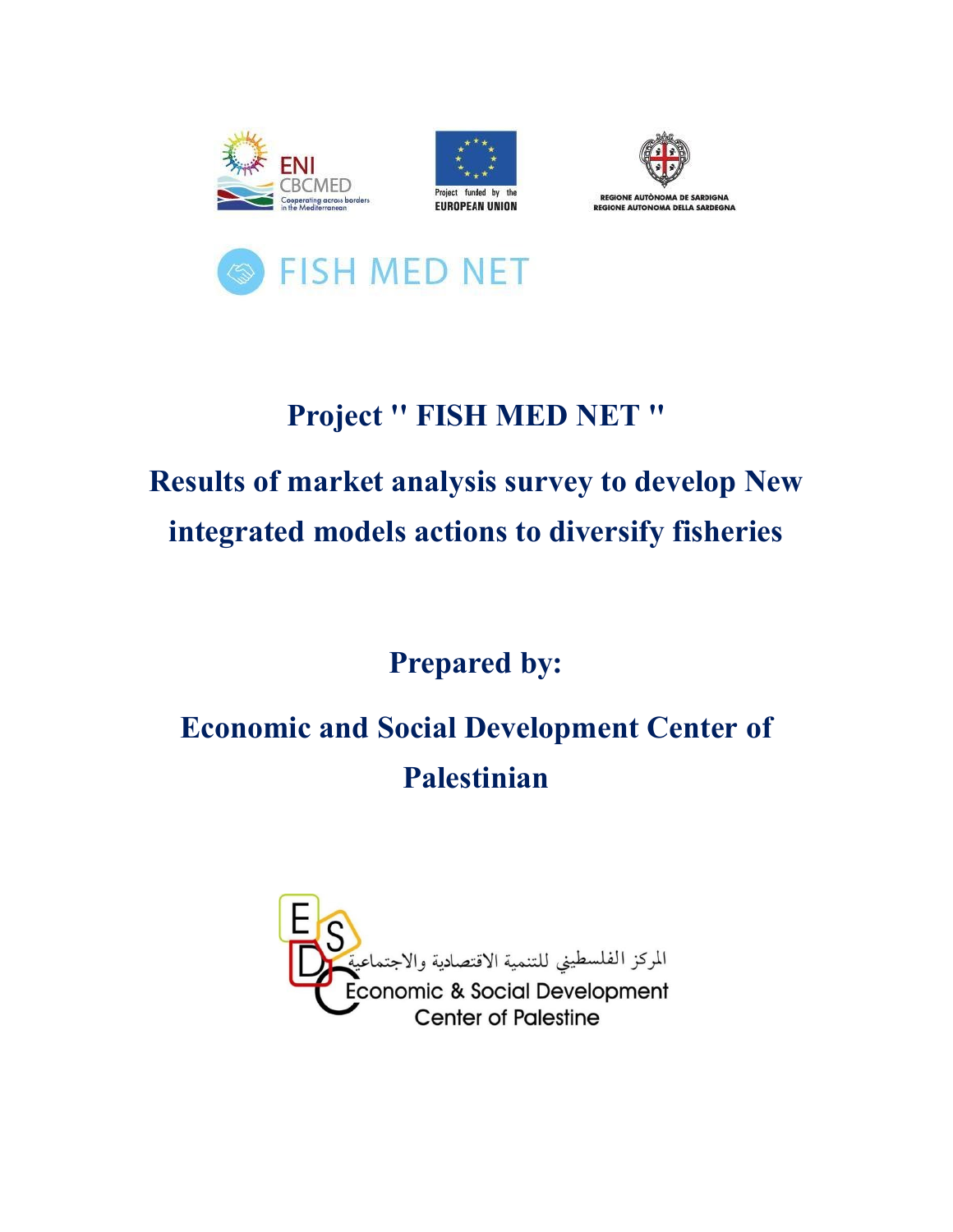







## **Project '' FISH MED NET ''**

# **Results of market analysis survey to develop New integrated models actions to diversify fisheries**

## **Prepared by:**

# **Economic and Social Development Center of Palestinian**

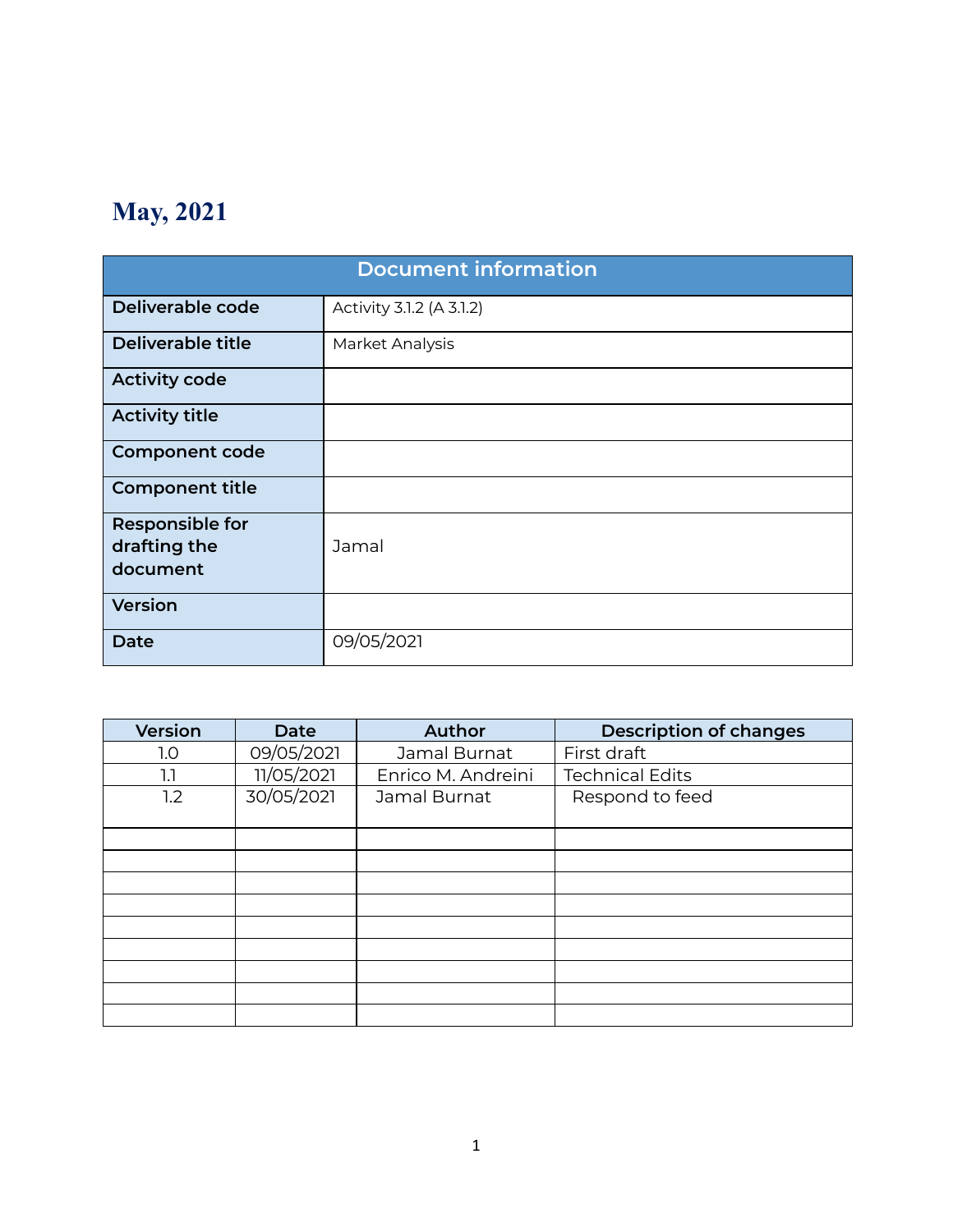## **May, 2021**

| <b>Document information</b>                        |                          |  |  |  |
|----------------------------------------------------|--------------------------|--|--|--|
| Deliverable code                                   | Activity 3.1.2 (A 3.1.2) |  |  |  |
| Deliverable title                                  | Market Analysis          |  |  |  |
| <b>Activity code</b>                               |                          |  |  |  |
| <b>Activity title</b>                              |                          |  |  |  |
| <b>Component code</b>                              |                          |  |  |  |
| <b>Component title</b>                             |                          |  |  |  |
| <b>Responsible for</b><br>drafting the<br>document | Jamal                    |  |  |  |
| <b>Version</b>                                     |                          |  |  |  |
| Date                                               | 09/05/2021               |  |  |  |

| <b>Version</b> | <b>Date</b> | <b>Author</b>      | <b>Description of changes</b> |  |
|----------------|-------------|--------------------|-------------------------------|--|
| 1.0            | 09/05/2021  | Jamal Burnat       | First draft                   |  |
| 1.1            | 11/05/2021  | Enrico M. Andreini | <b>Technical Edits</b>        |  |
| 1.2            | 30/05/2021  | Jamal Burnat       | Respond to feed               |  |
|                |             |                    |                               |  |
|                |             |                    |                               |  |
|                |             |                    |                               |  |
|                |             |                    |                               |  |
|                |             |                    |                               |  |
|                |             |                    |                               |  |
|                |             |                    |                               |  |
|                |             |                    |                               |  |
|                |             |                    |                               |  |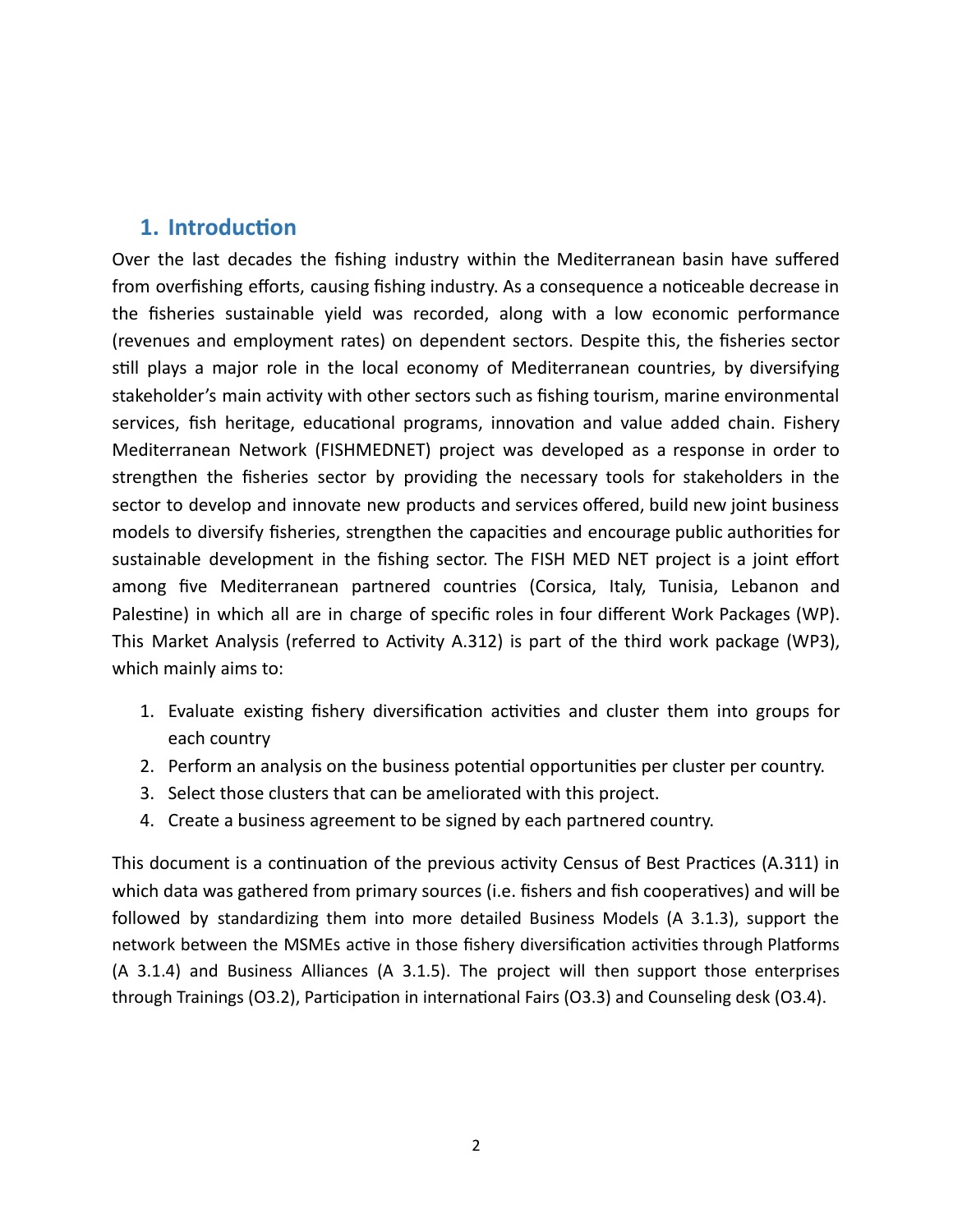#### **1.** Introduction

Over the last decades the fishing industry within the Mediterranean basin have suffered from overfishing efforts, causing fishing industry. As a consequence a noticeable decrease in the fisheries sustainable yield was recorded, along with a low economic performance (revenues and employment rates) on dependent sectors. Despite this, the fisheries sector still plays a major role in the local economy of Mediterranean countries, by diversifying stakeholder's main activity with other sectors such as fishing tourism, marine environmental services, fish heritage, educational programs, innovation and value added chain. Fishery Mediterranean Network (FISHMEDNET) project was developed as a response in order to strengthen the fisheries sector by providing the necessary tools for stakeholders in the sector to develop and innovate new products and services offered, build new joint business models to diversify fisheries, strengthen the capacities and encourage public authorities for sustainable development in the fishing sector. The FISH MED NET project is a joint effort among five Mediterranean partnered countries (Corsica, Italy, Tunisia, Lebanon and Palestine) in which all are in charge of specific roles in four different Work Packages (WP). This Market Analysis (referred to Activity A.312) is part of the third work package (WP3), which mainly aims to:

- 1. Evaluate existing fishery diversification activities and cluster them into groups for each country
- 2. Perform an analysis on the business potential opportunities per cluster per country.
- 3. Select those clusters that can be ameliorated with this project.
- 4. Create a business agreement to be signed by each partnered country.

This document is a continuation of the previous activity Census of Best Practices (A.311) in which data was gathered from primary sources (i.e. fishers and fish cooperatives) and will be followed by standardizing them into more detailed Business Models (A 3.1.3), support the network between the MSMEs active in those fishery diversification activities through Platforms (A 3.1.4) and Business Alliances (A 3.1.5). The project will then support those enterprises through Trainings (O3.2), Participation in international Fairs (O3.3) and Counseling desk (O3.4).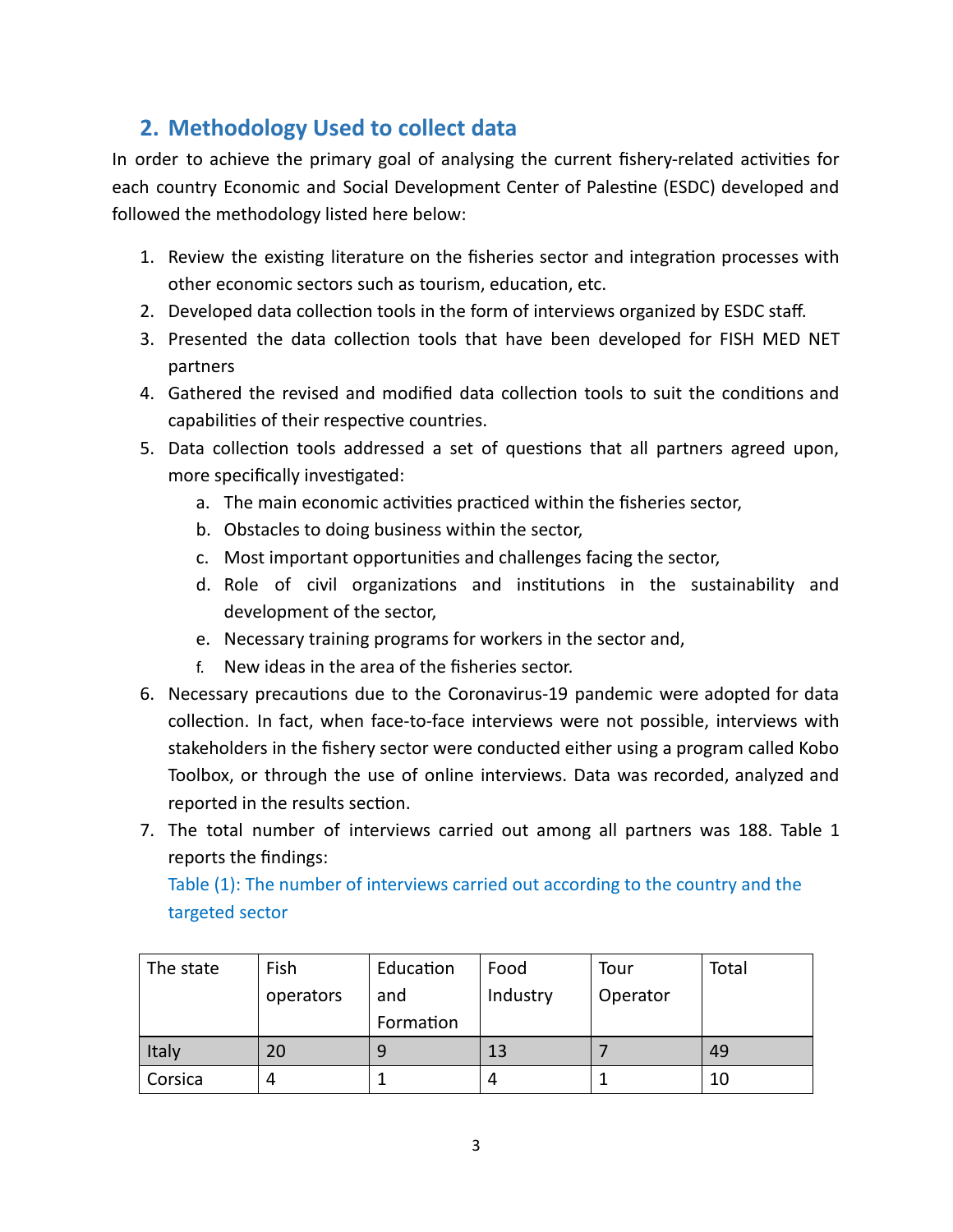## **2. Methodology Used to collect data**

In order to achieve the primary goal of analysing the current fishery-related activities for each country Economic and Social Development Center of Palestine (ESDC) developed and followed the methodology listed here below:

- 1. Review the existing literature on the fisheries sector and integration processes with other economic sectors such as tourism, education, etc.
- 2. Developed data collection tools in the form of interviews organized by ESDC staff.
- 3. Presented the data collection tools that have been developed for FISH MED NET partners
- 4. Gathered the revised and modified data collection tools to suit the conditions and capabilities of their respective countries.
- 5. Data collection tools addressed a set of questions that all partners agreed upon, more specifically investigated:
	- a. The main economic activities practiced within the fisheries sector,
	- b. Obstacles to doing business within the sector,
	- c. Most important opportunities and challenges facing the sector,
	- d. Role of civil organizations and institutions in the sustainability and development of the sector,
	- e. Necessary training programs for workers in the sector and,
	- f. New ideas in the area of the fisheries sector.
- 6. Necessary precautions due to the Coronavirus-19 pandemic were adopted for data collection. In fact, when face-to-face interviews were not possible, interviews with stakeholders in the fishery sector were conducted either using a program called Kobo Toolbox, or through the use of online interviews. Data was recorded, analyzed and reported in the results section.
- 7. The total number of interviews carried out among all partners was 188. Table 1 reports the findings:

Table (1): The number of interviews carried out according to the country and the targeted sector

| The state | Fish      | Education | Food     | Tour     | Total |
|-----------|-----------|-----------|----------|----------|-------|
|           | operators | and       | Industry | Operator |       |
|           |           | Formation |          |          |       |
| Italy     | 20        | q         | 13       |          | 49    |
| Corsica   | 4         |           |          |          | 10    |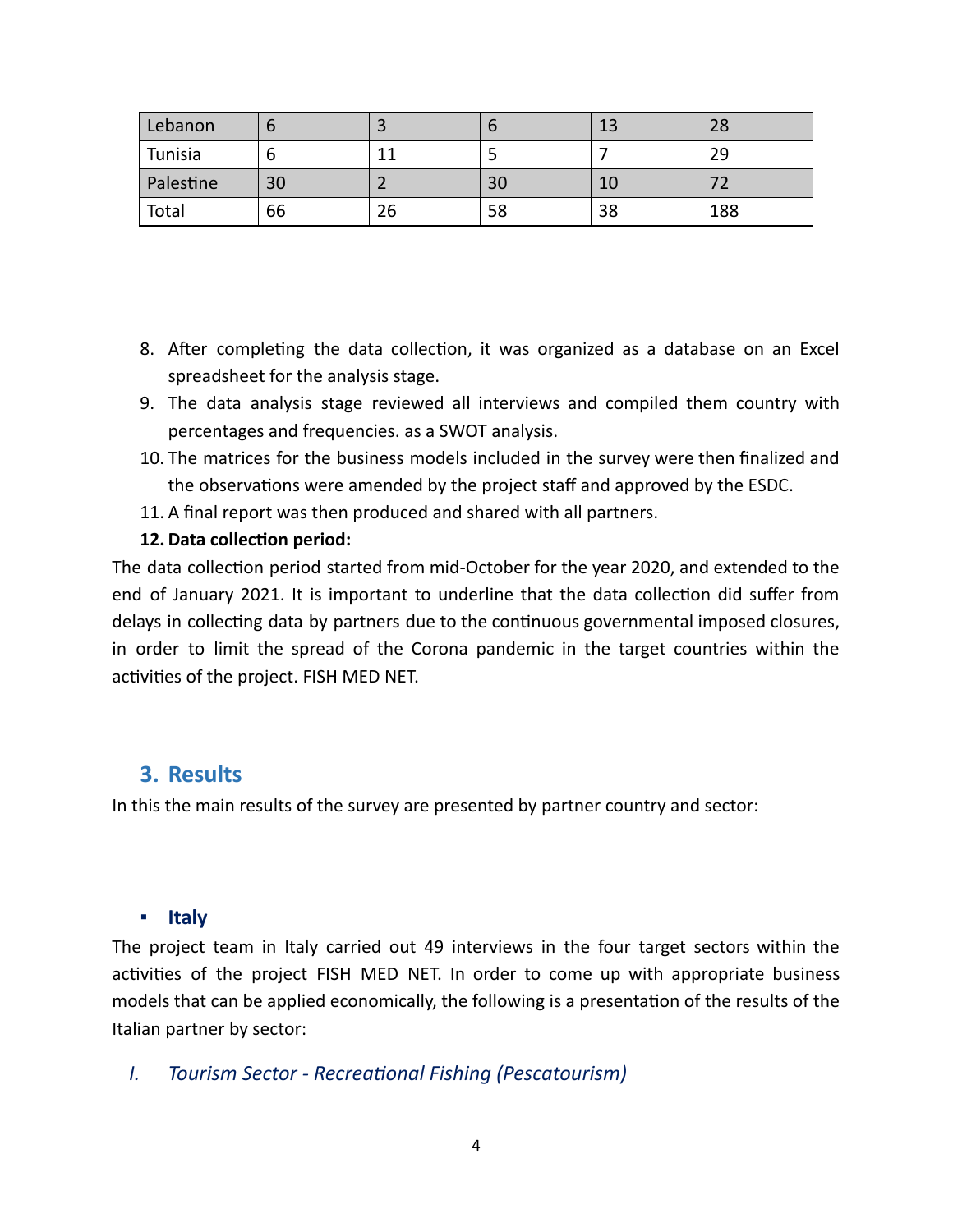| Lebanon   | О  |    |    | 13 | 28  |
|-----------|----|----|----|----|-----|
| Tunisia   | o  |    |    |    | 29  |
| Palestine | 30 |    | 30 | 10 |     |
| Total     | 66 | ۷b | 58 | 38 | 188 |

- 8. After completing the data collection, it was organized as a database on an Excel spreadsheet for the analysis stage.
- 9. The data analysis stage reviewed all interviews and compiled them country with percentages and frequencies. as a SWOT analysis.
- 10. The matrices for the business models included in the survey were then finalized and the observations were amended by the project staff and approved by the ESDC.
- 11. A final report was then produced and shared with all partners.
- **12. Data collection period:**

The data collection period started from mid-October for the year 2020, and extended to the end of January 2021. It is important to underline that the data collection did suffer from delays in collecting data by partners due to the continuous governmental imposed closures, in order to limit the spread of the Corona pandemic in the target countries within the activities of the project. FISH MED NET.

## **3. Results**

In this the main results of the survey are presented by partner country and sector:

#### **▪ Italy**

The project team in Italy carried out 49 interviews in the four target sectors within the activities of the project FISH MED NET. In order to come up with appropriate business models that can be applied economically, the following is a presentation of the results of the Italian partner by sector:

*I. Tourism Sector - Recreational Fishing (Pescatourism)*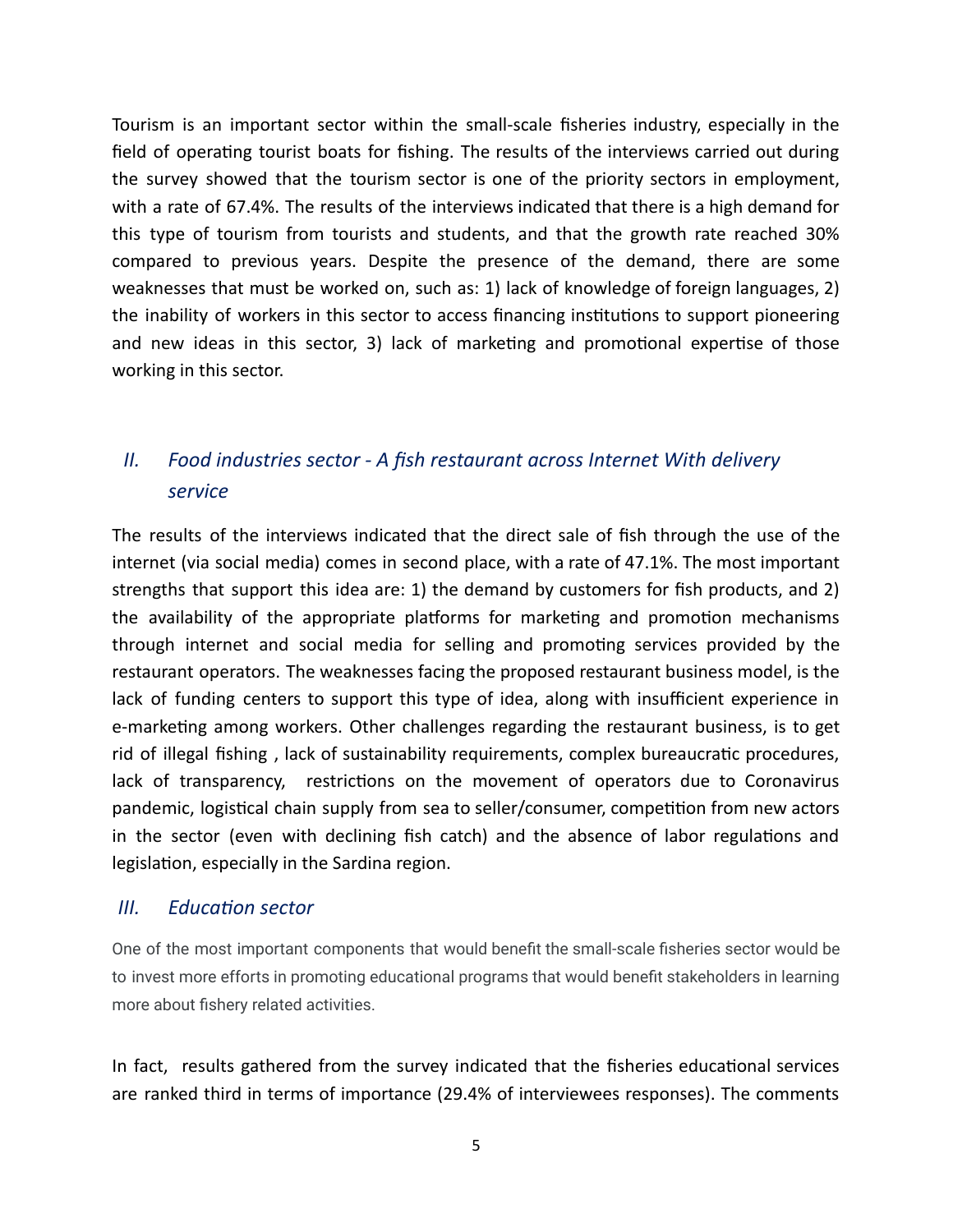Tourism is an important sector within the small-scale fisheries industry, especially in the field of operating tourist boats for fishing. The results of the interviews carried out during the survey showed that the tourism sector is one of the priority sectors in employment, with a rate of 67.4%. The results of the interviews indicated that there is a high demand for this type of tourism from tourists and students, and that the growth rate reached 30% compared to previous years. Despite the presence of the demand, there are some weaknesses that must be worked on, such as: 1) lack of knowledge of foreign languages, 2) the inability of workers in this sector to access financing institutions to support pioneering and new ideas in this sector, 3) lack of marketing and promotional expertise of those working in this sector.

## *II. Food industries sector - A fish restaurant across Internet With delivery service*

The results of the interviews indicated that the direct sale of fish through the use of the internet (via social media) comes in second place, with a rate of 47.1%. The most important strengths that support this idea are: 1) the demand by customers for fish products, and 2) the availability of the appropriate platforms for marketing and promotion mechanisms through internet and social media for selling and promoting services provided by the restaurant operators. The weaknesses facing the proposed restaurant business model, is the lack of funding centers to support this type of idea, along with insufficient experience in e-marketing among workers. Other challenges regarding the restaurant business, is to get rid of illegal fishing, lack of sustainability requirements, complex bureaucratic procedures, lack of transparency, restrictions on the movement of operators due to Coronavirus pandemic, logistical chain supply from sea to seller/consumer, competition from new actors in the sector (even with declining fish catch) and the absence of labor regulations and legislation, especially in the Sardina region.

#### *III. Education sector*

One of the most important components that would benefit the small-scale fisheries sector would be to invest more efforts in promoting educational programs that would benefit stakeholders in learning more about fishery related activities.

In fact, results gathered from the survey indicated that the fisheries educational services are ranked third in terms of importance (29.4% of interviewees responses). The comments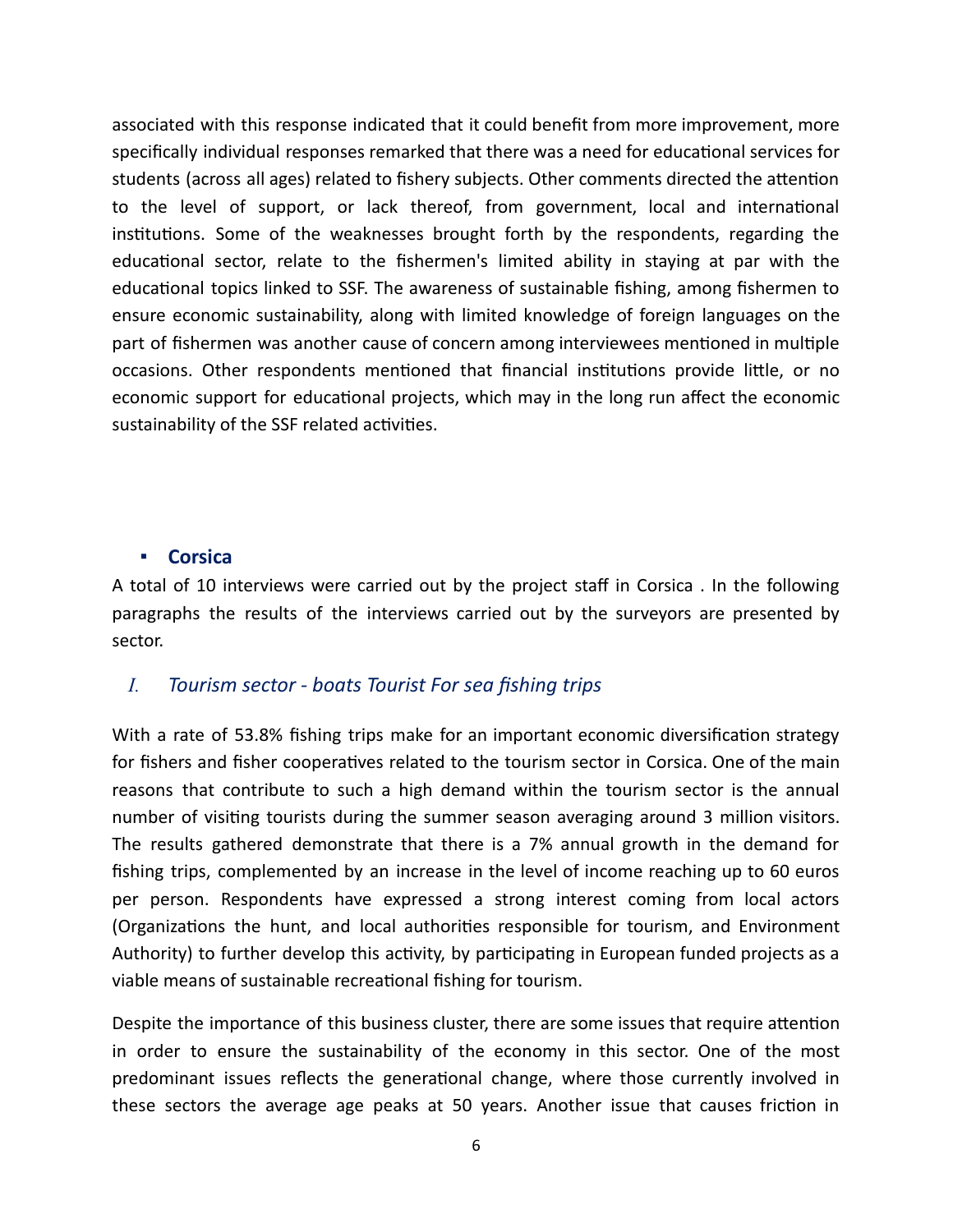associated with this response indicated that it could benefit from more improvement, more specifically individual responses remarked that there was a need for educational services for students (across all ages) related to fishery subjects. Other comments directed the attention to the level of support, or lack thereof, from government, local and international institutions. Some of the weaknesses brought forth by the respondents, regarding the educational sector, relate to the fishermen's limited ability in staying at par with the educational topics linked to SSF. The awareness of sustainable fishing, among fishermen to ensure economic sustainability, along with limited knowledge of foreign languages on the part of fishermen was another cause of concern among interviewees mentioned in multiple occasions. Other respondents mentioned that financial institutions provide little, or no economic support for educational projects, which may in the long run affect the economic sustainability of the SSF related activities.

#### **▪ Corsica**

A total of 10 interviews were carried out by the project staff in Corsica . In the following paragraphs the results of the interviews carried out by the surveyors are presented by sector.

#### *I. Tourism sector - boats Tourist For sea fishing trips*

With a rate of 53.8% fishing trips make for an important economic diversification strategy for fishers and fisher cooperatives related to the tourism sector in Corsica. One of the main reasons that contribute to such a high demand within the tourism sector is the annual number of visiting tourists during the summer season averaging around 3 million visitors. The results gathered demonstrate that there is a 7% annual growth in the demand for fishing trips, complemented by an increase in the level of income reaching up to 60 euros per person. Respondents have expressed a strong interest coming from local actors (Organizations the hunt, and local authorities responsible for tourism, and Environment Authority) to further develop this activity, by participating in European funded projects as a viable means of sustainable recreational fishing for tourism.

Despite the importance of this business cluster, there are some issues that require attention in order to ensure the sustainability of the economy in this sector. One of the most predominant issues reflects the generational change, where those currently involved in these sectors the average age peaks at 50 years. Another issue that causes friction in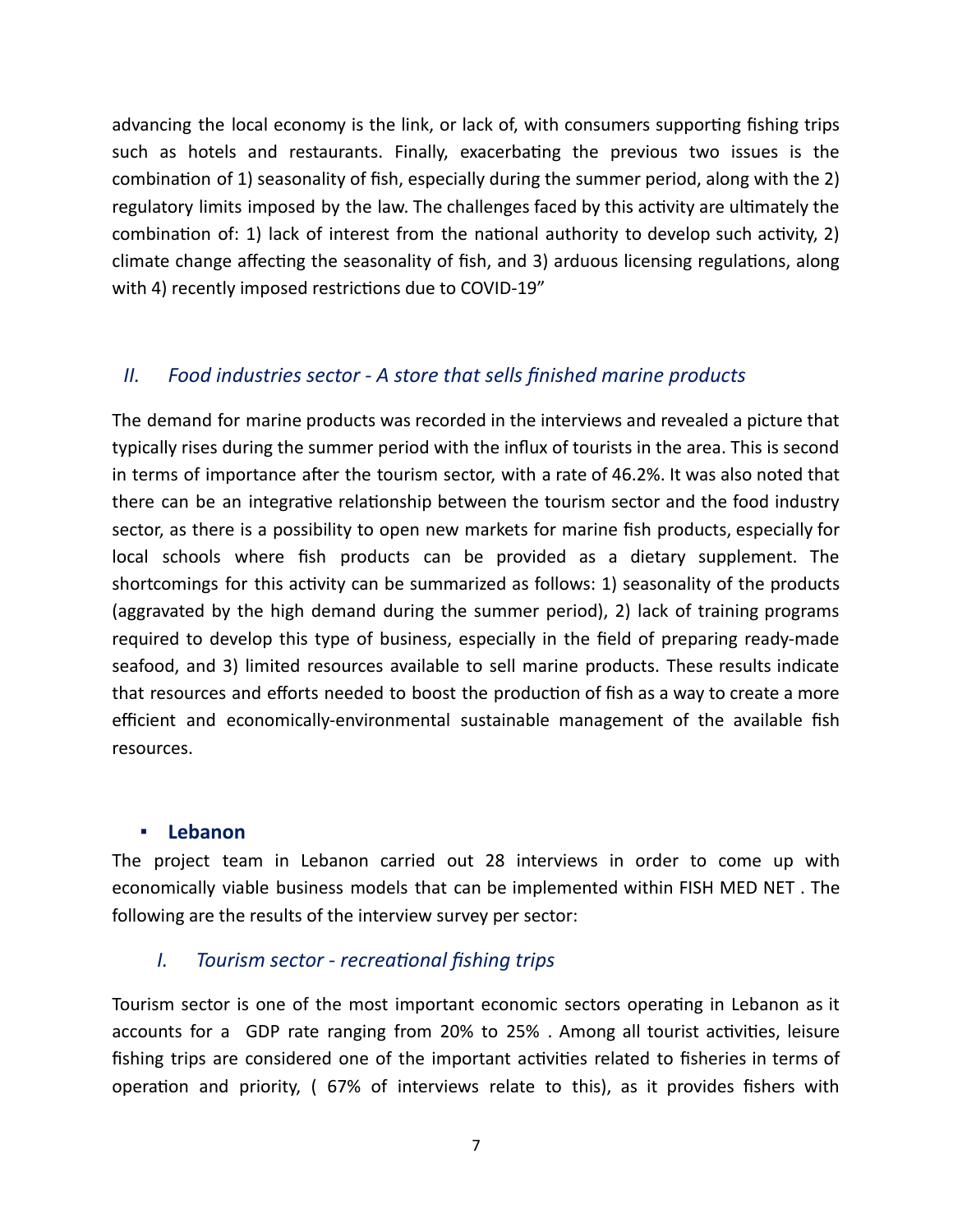advancing the local economy is the link, or lack of, with consumers supporting fishing trips such as hotels and restaurants. Finally, exacerbating the previous two issues is the combination of 1) seasonality of fish, especially during the summer period, along with the 2) regulatory limits imposed by the law. The challenges faced by this activity are ultimately the combination of: 1) lack of interest from the national authority to develop such activity, 2) climate change affecting the seasonality of fish, and 3) arduous licensing regulations, along with 4) recently imposed restrictions due to COVID-19"

#### *II. Food industries sector - A store that sells finished marine products*

The demand for marine products was recorded in the interviews and revealed a picture that typically rises during the summer period with the influx of tourists in the area. This is second in terms of importance after the tourism sector, with a rate of 46.2%. It was also noted that there can be an integrative relationship between the tourism sector and the food industry sector, as there is a possibility to open new markets for marine fish products, especially for local schools where fish products can be provided as a dietary supplement. The shortcomings for this activity can be summarized as follows: 1) seasonality of the products (aggravated by the high demand during the summer period), 2) lack of training programs required to develop this type of business, especially in the field of preparing ready-made seafood, and 3) limited resources available to sell marine products. These results indicate that resources and efforts needed to boost the production of fish as a way to create a more efficient and economically-environmental sustainable management of the available fish resources.

#### **▪ Lebanon**

The project team in Lebanon carried out 28 interviews in order to come up with economically viable business models that can be implemented within FISH MED NET . The following are the results of the interview survey per sector:

#### *I.* Tourism sector - recreational fishing trips

Tourism sector is one of the most important economic sectors operating in Lebanon as it accounts for a GDP rate ranging from 20% to 25%. Among all tourist activities, leisure fishing trips are considered one of the important activities related to fisheries in terms of operation and priority, (67% of interviews relate to this), as it provides fishers with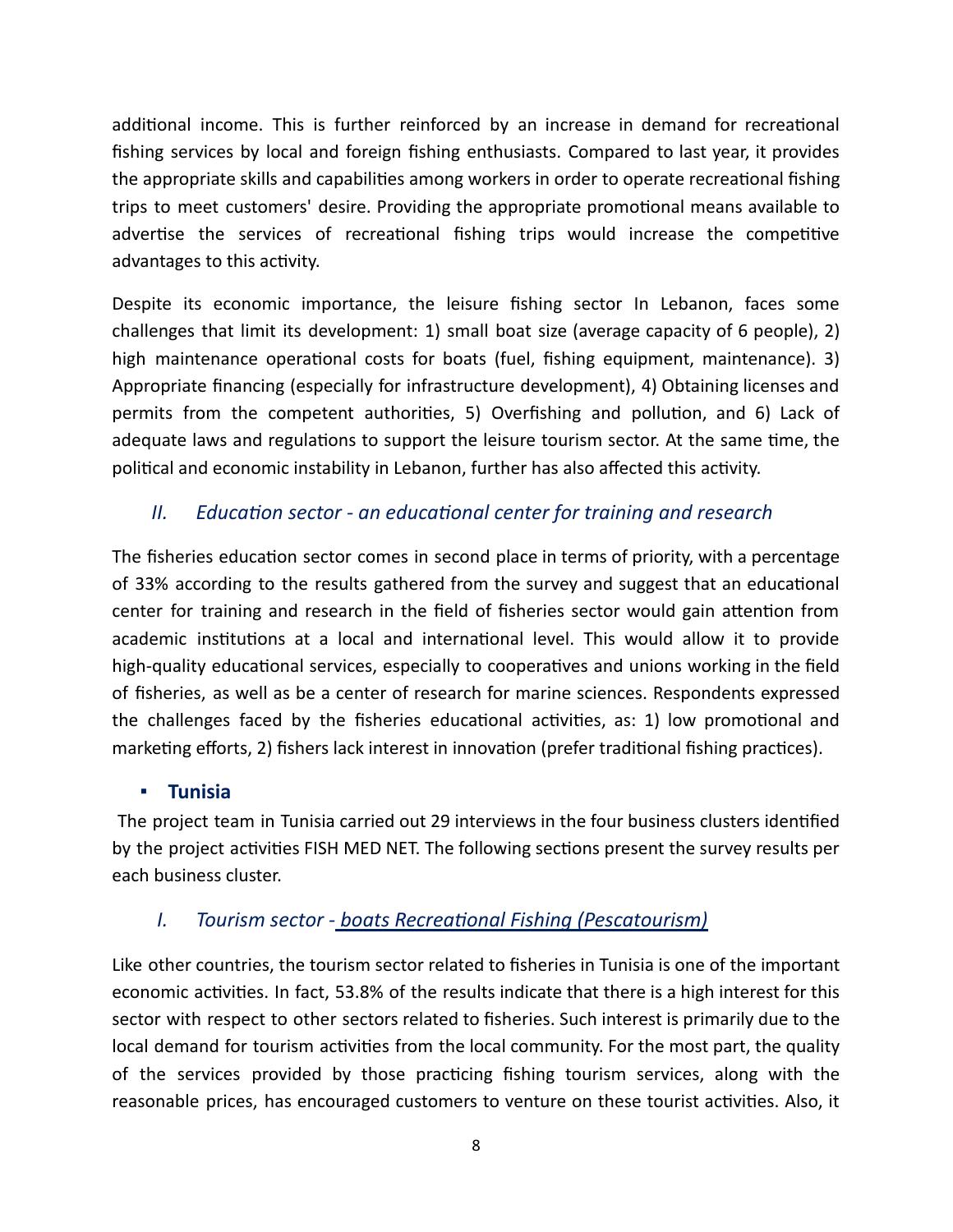additional income. This is further reinforced by an increase in demand for recreational fishing services by local and foreign fishing enthusiasts. Compared to last year, it provides the appropriate skills and capabilities among workers in order to operate recreational fishing trips to meet customers' desire. Providing the appropriate promotional means available to advertise the services of recreational fishing trips would increase the competitive advantages to this activity.

Despite its economic importance, the leisure fishing sector In Lebanon, faces some challenges that limit its development: 1) small boat size (average capacity of 6 people), 2) high maintenance operational costs for boats (fuel, fishing equipment, maintenance). 3) Appropriate financing (especially for infrastructure development), 4) Obtaining licenses and permits from the competent authorities, 5) Overfishing and pollution, and 6) Lack of adequate laws and regulations to support the leisure tourism sector. At the same time, the political and economic instability in Lebanon, further has also affected this activity.

### *II. Education sector - an educational center for training and research*

The fisheries education sector comes in second place in terms of priority, with a percentage of 33% according to the results gathered from the survey and suggest that an educational center for training and research in the field of fisheries sector would gain attention from academic institutions at a local and international level. This would allow it to provide high-quality educational services, especially to cooperatives and unions working in the field of fisheries, as well as be a center of research for marine sciences. Respondents expressed the challenges faced by the fisheries educational activities, as: 1) low promotional and marketing efforts, 2) fishers lack interest in innovation (prefer traditional fishing practices).

#### **▪ Tunisia**

The project team in Tunisia carried out 29 interviews in the four business clusters identified by the project activities FISH MED NET. The following sections present the survey results per each business cluster.

#### *I. Tourism sector - boats Recreational Fishing (Pescatourism)*

Like other countries, the tourism sector related to fisheries in Tunisia is one of the important economic activities. In fact, 53.8% of the results indicate that there is a high interest for this sector with respect to other sectors related to fisheries. Such interest is primarily due to the local demand for tourism activities from the local community. For the most part, the quality of the services provided by those practicing fishing tourism services, along with the reasonable prices, has encouraged customers to venture on these tourist activities. Also, it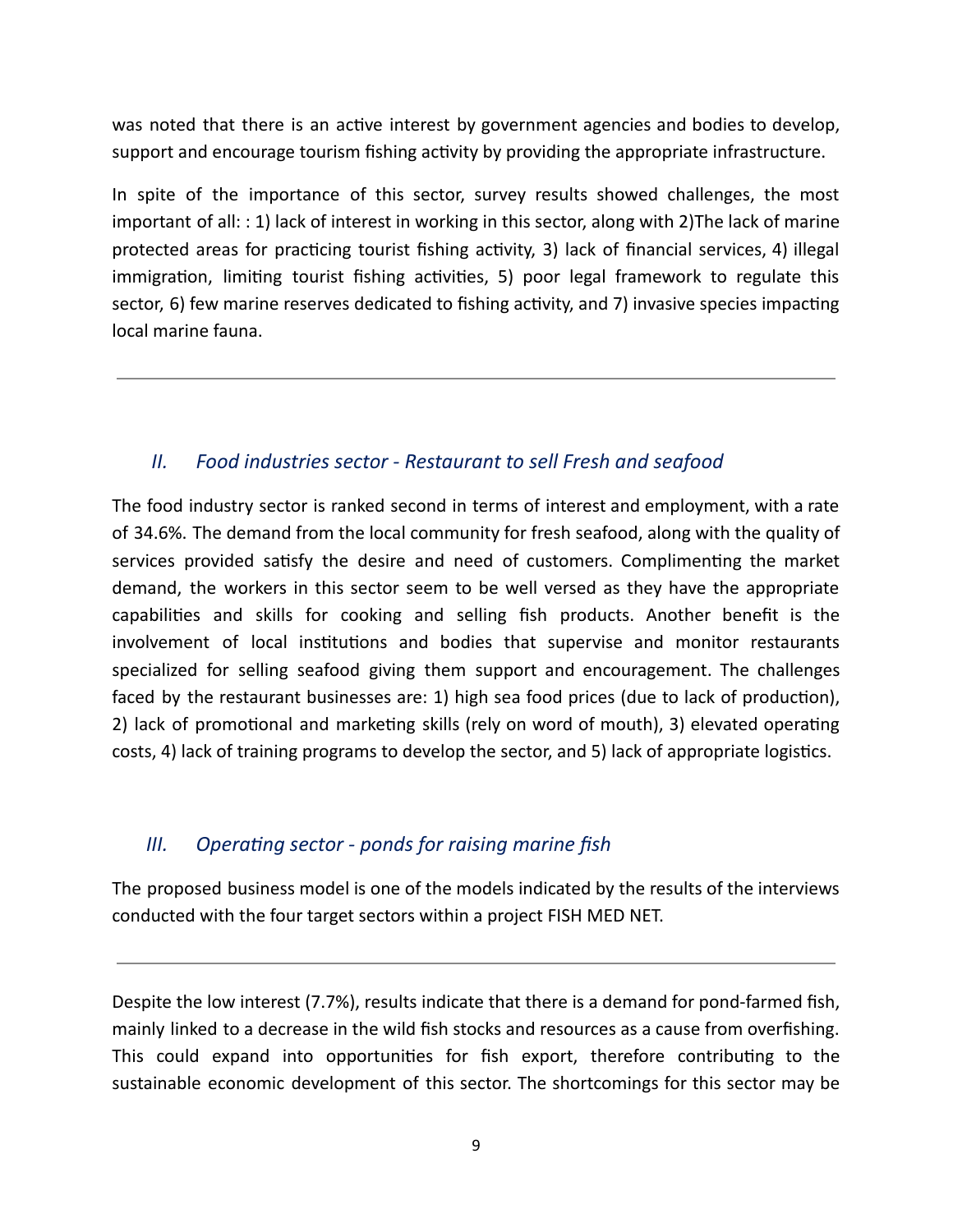was noted that there is an active interest by government agencies and bodies to develop, support and encourage tourism fishing activity by providing the appropriate infrastructure.

In spite of the importance of this sector, survey results showed challenges, the most important of all: : 1) lack of interest in working in this sector, along with 2)The lack of marine protected areas for practicing tourist fishing activity, 3) lack of financial services, 4) illegal immigration, limiting tourist fishing activities, 5) poor legal framework to regulate this sector, 6) few marine reserves dedicated to fishing activity, and 7) invasive species impacting local marine fauna.

#### *II. Food industries sector - Restaurant to sell Fresh and seafood*

The food industry sector is ranked second in terms of interest and employment, with a rate of 34.6%. The demand from the local community for fresh seafood, along with the quality of services provided satisfy the desire and need of customers. Complimenting the market demand, the workers in this sector seem to be well versed as they have the appropriate capabilities and skills for cooking and selling fish products. Another benefit is the involvement of local institutions and bodies that supervise and monitor restaurants specialized for selling seafood giving them support and encouragement. The challenges faced by the restaurant businesses are: 1) high sea food prices (due to lack of production), 2) lack of promotional and marketing skills (rely on word of mouth), 3) elevated operating costs, 4) lack of training programs to develop the sector, and 5) lack of appropriate logistics.

#### *III.* Operating sector - ponds for raising marine fish

The proposed business model is one of the models indicated by the results of the interviews conducted with the four target sectors within a project FISH MED NET.

Despite the low interest (7.7%), results indicate that there is a demand for pond-farmed fish, mainly linked to a decrease in the wild fish stocks and resources as a cause from overfishing. This could expand into opportunities for fish export, therefore contributing to the sustainable economic development of this sector. The shortcomings for this sector may be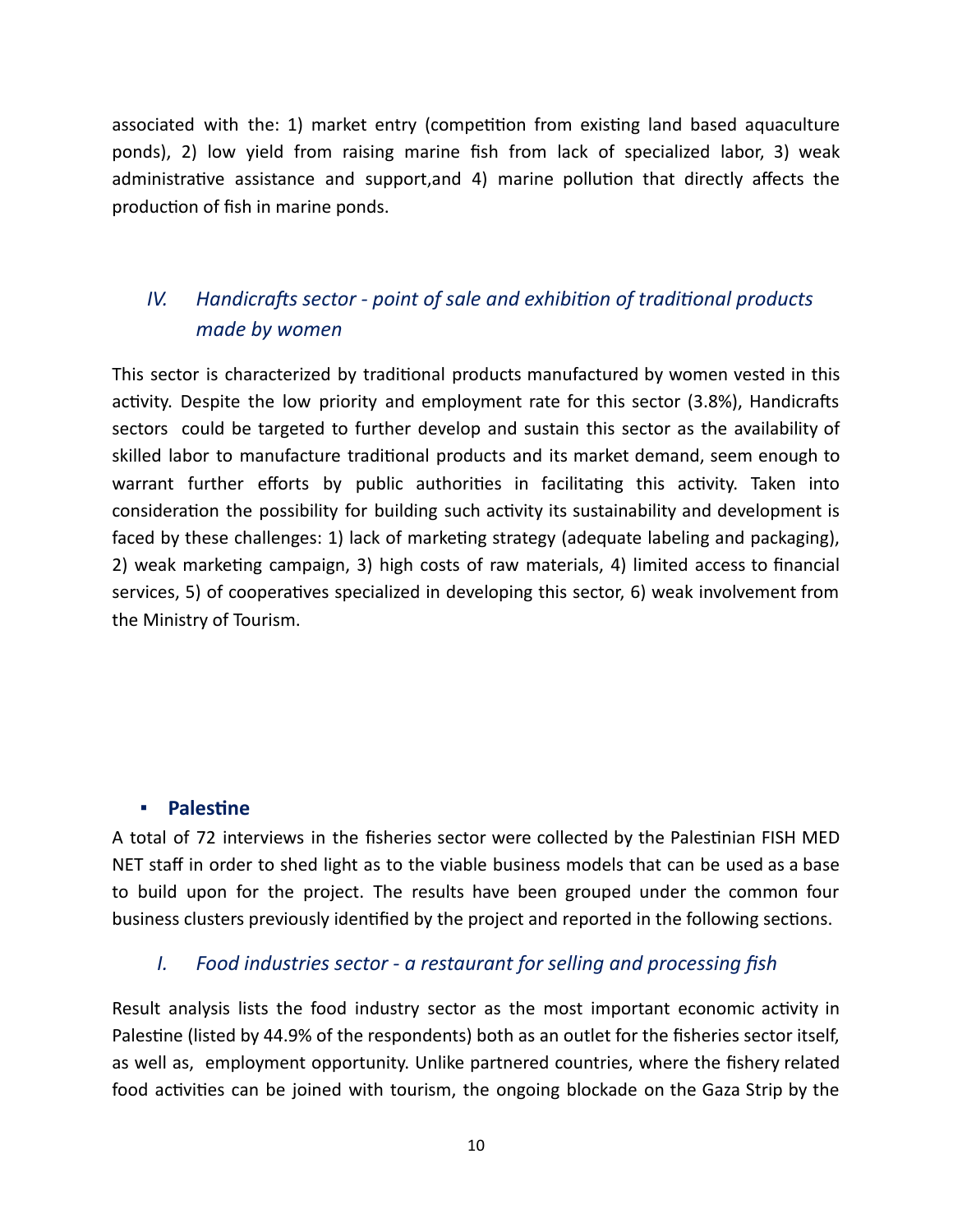associated with the: 1) market entry (competition from existing land based aquaculture ponds), 2) low yield from raising marine fish from lack of specialized labor, 3) weak administrative assistance and support, and 4) marine pollution that directly affects the production of fish in marine ponds.

## *IV.* Handicrafts sector - point of sale and exhibition of traditional products *made by women*

This sector is characterized by traditional products manufactured by women vested in this activity. Despite the low priority and employment rate for this sector (3.8%), Handicrafts sectors could be targeted to further develop and sustain this sector as the availability of skilled labor to manufacture traditional products and its market demand, seem enough to warrant further efforts by public authorities in facilitating this activity. Taken into consideration the possibility for building such activity its sustainability and development is faced by these challenges: 1) lack of marketing strategy (adequate labeling and packaging), 2) weak marketing campaign, 3) high costs of raw materials, 4) limited access to financial services, 5) of cooperatives specialized in developing this sector, 6) weak involvement from the Ministry of Tourism.

#### **<u>■ Palestine</u>**

A total of 72 interviews in the fisheries sector were collected by the Palestinian FISH MED NET staff in order to shed light as to the viable business models that can be used as a base to build upon for the project. The results have been grouped under the common four business clusters previously identified by the project and reported in the following sections.

#### *I. Food industries sector - a restaurant for selling and processing fish*

Result analysis lists the food industry sector as the most important economic activity in Palestine (listed by 44.9% of the respondents) both as an outlet for the fisheries sector itself, as well as, employment opportunity. Unlike partnered countries, where the fishery related food activities can be joined with tourism, the ongoing blockade on the Gaza Strip by the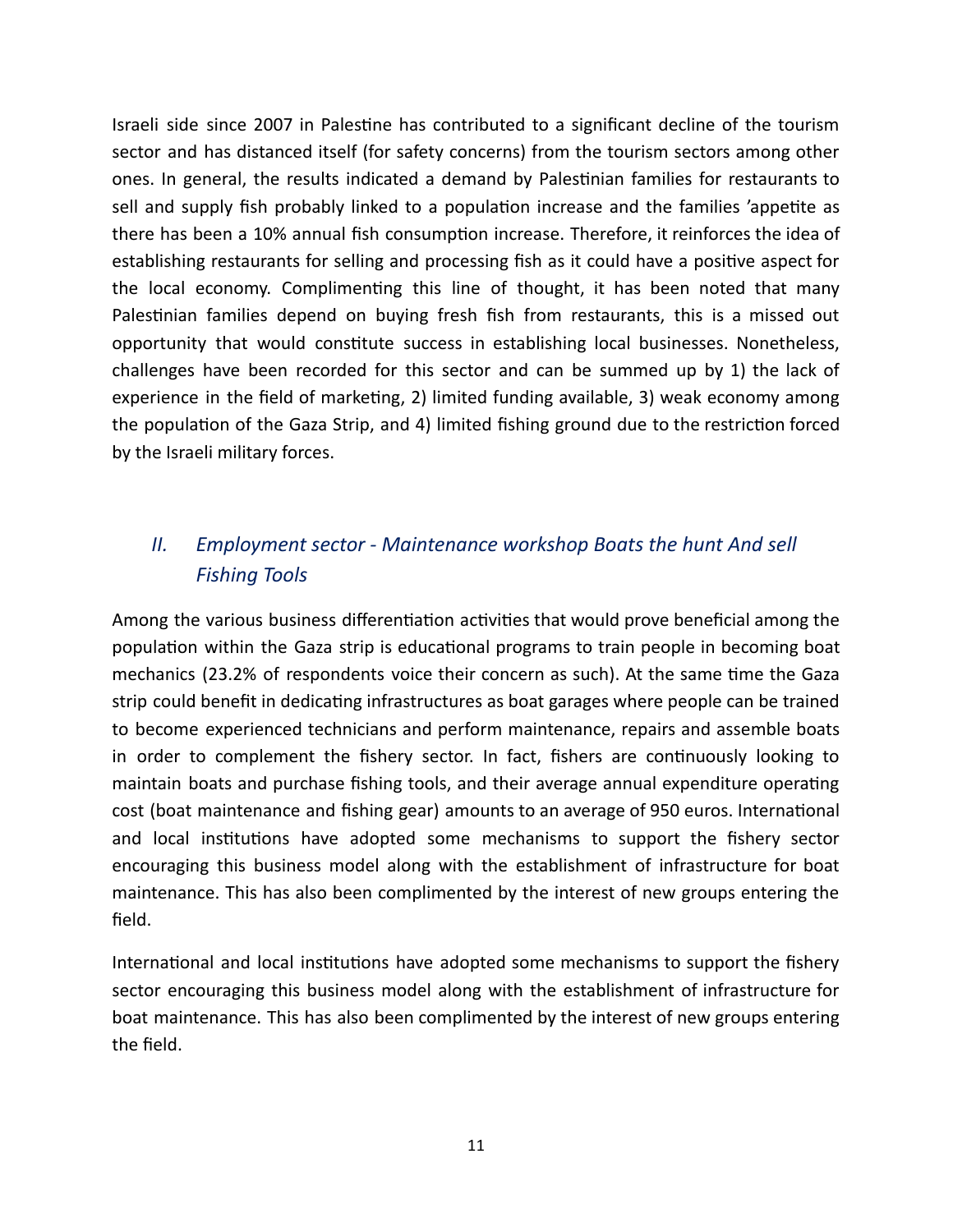Israeli side since 2007 in Palestine has contributed to a significant decline of the tourism sector and has distanced itself (for safety concerns) from the tourism sectors among other ones. In general, the results indicated a demand by Palestinian families for restaurants to sell and supply fish probably linked to a population increase and the families 'appetite as there has been a 10% annual fish consumption increase. Therefore, it reinforces the idea of establishing restaurants for selling and processing fish as it could have a positive aspect for the local economy. Complimenting this line of thought, it has been noted that many Palestinian families depend on buying fresh fish from restaurants, this is a missed out opportunity that would constitute success in establishing local businesses. Nonetheless, challenges have been recorded for this sector and can be summed up by 1) the lack of experience in the field of marketing, 2) limited funding available, 3) weak economy among the population of the Gaza Strip, and 4) limited fishing ground due to the restriction forced by the Israeli military forces.

## *II. Employment sector - Maintenance workshop Boats the hunt And sell Fishing Tools*

Among the various business differentiation activities that would prove beneficial among the population within the Gaza strip is educational programs to train people in becoming boat mechanics (23.2% of respondents voice their concern as such). At the same time the Gaza strip could benefit in dedicating infrastructures as boat garages where people can be trained to become experienced technicians and perform maintenance, repairs and assemble boats in order to complement the fishery sector. In fact, fishers are continuously looking to maintain boats and purchase fishing tools, and their average annual expenditure operating cost (boat maintenance and fishing gear) amounts to an average of 950 euros. International and local institutions have adopted some mechanisms to support the fishery sector encouraging this business model along with the establishment of infrastructure for boat maintenance. This has also been complimented by the interest of new groups entering the field.

International and local institutions have adopted some mechanisms to support the fishery sector encouraging this business model along with the establishment of infrastructure for boat maintenance. This has also been complimented by the interest of new groups entering the field.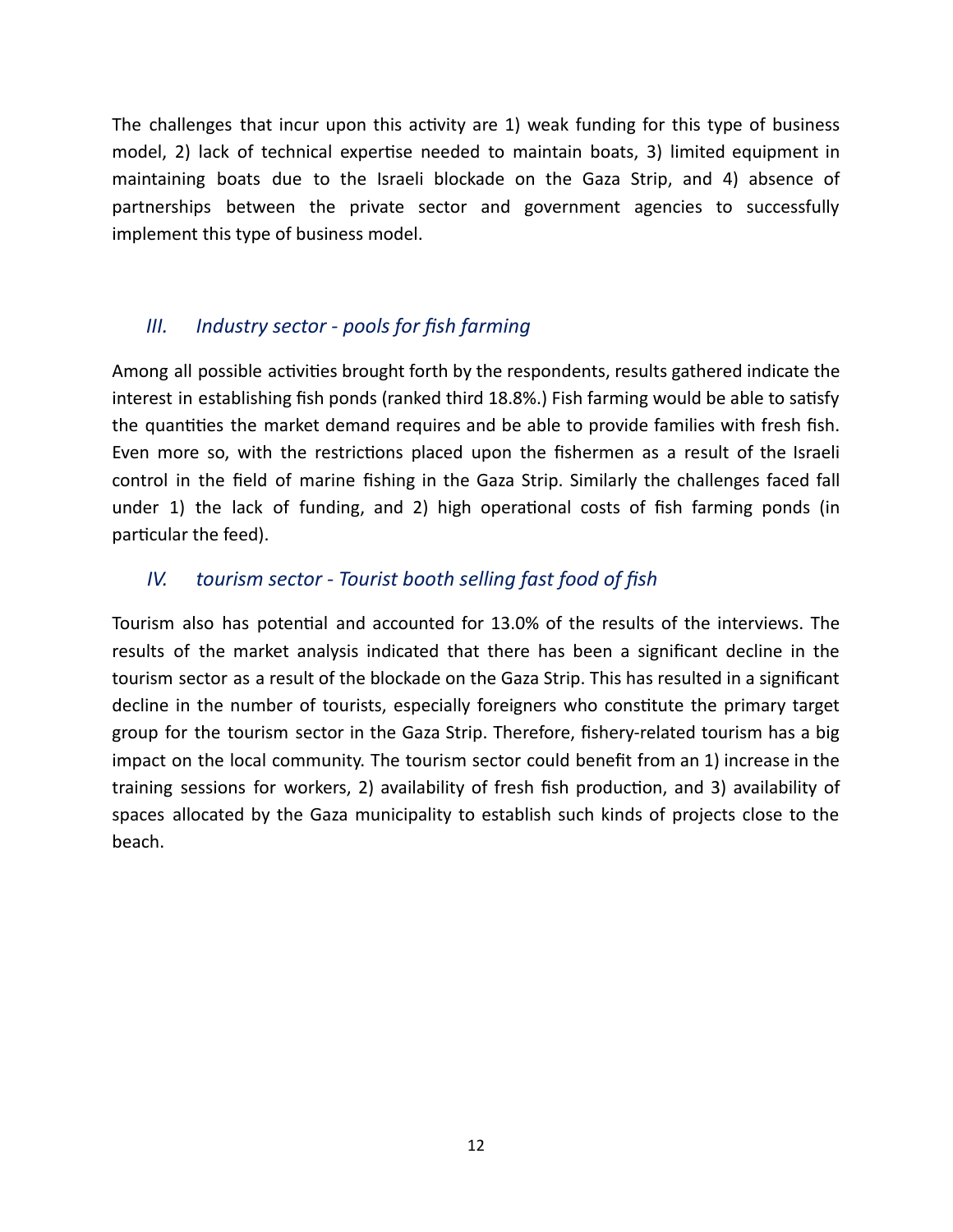The challenges that incur upon this activity are 1) weak funding for this type of business model, 2) lack of technical expertise needed to maintain boats, 3) limited equipment in maintaining boats due to the Israeli blockade on the Gaza Strip, and 4) absence of partnerships between the private sector and government agencies to successfully implement this type of business model.

#### *III. Industry sector - pools for fish farming*

Among all possible activities brought forth by the respondents, results gathered indicate the interest in establishing fish ponds (ranked third 18.8%.) Fish farming would be able to satisfy the quantities the market demand requires and be able to provide families with fresh fish. Even more so, with the restrictions placed upon the fishermen as a result of the Israeli control in the field of marine fishing in the Gaza Strip. Similarly the challenges faced fall under 1) the lack of funding, and 2) high operational costs of fish farming ponds (in particular the feed).

### *IV. tourism sector - Tourist booth selling fast food of fish*

Tourism also has potential and accounted for 13.0% of the results of the interviews. The results of the market analysis indicated that there has been a significant decline in the tourism sector as a result of the blockade on the Gaza Strip. This has resulted in a significant decline in the number of tourists, especially foreigners who constitute the primary target group for the tourism sector in the Gaza Strip. Therefore, fishery-related tourism has a big impact on the local community. The tourism sector could benefit from an 1) increase in the training sessions for workers, 2) availability of fresh fish production, and 3) availability of spaces allocated by the Gaza municipality to establish such kinds of projects close to the beach.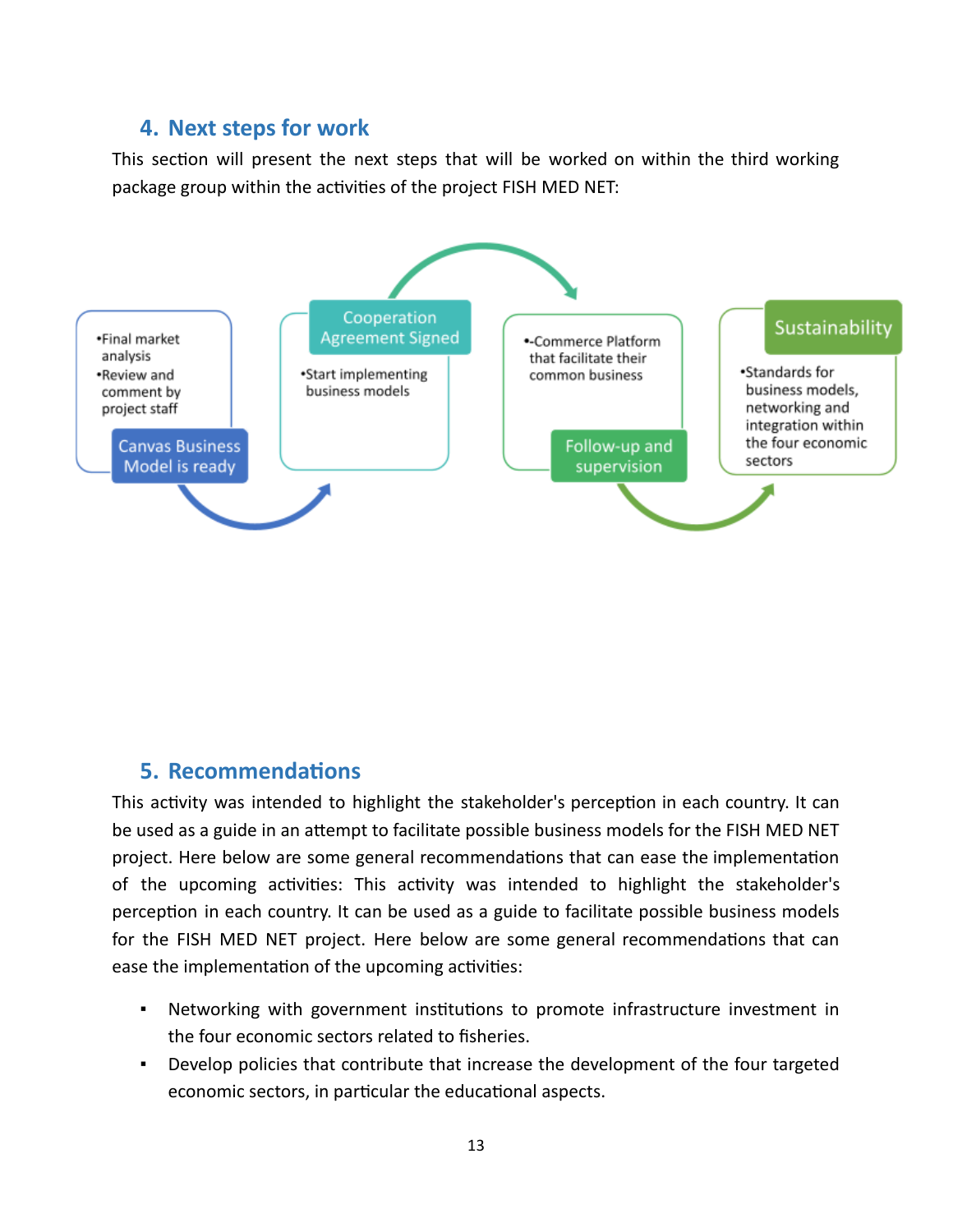## **4. Next steps for work**

This section will present the next steps that will be worked on within the third working package group within the activities of the project FISH MED NET:



### **5.** Recommendations

This activity was intended to highlight the stakeholder's perception in each country. It can be used as a guide in an attempt to facilitate possible business models for the FISH MED NET project. Here below are some general recommendations that can ease the implementation of the upcoming activities: This activity was intended to highlight the stakeholder's perception in each country. It can be used as a guide to facilitate possible business models for the FISH MED NET project. Here below are some general recommendations that can ease the implementation of the upcoming activities:

- Networking with government institutions to promote infrastructure investment in the four economic sectors related to fisheries.
- Develop policies that contribute that increase the development of the four targeted economic sectors, in particular the educational aspects.